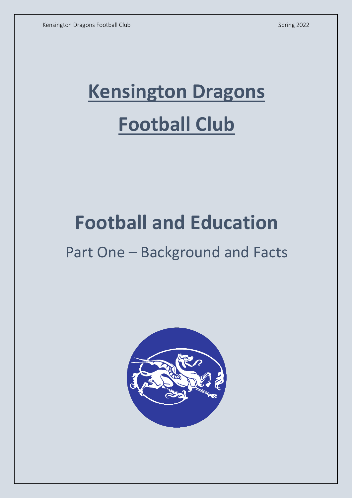# **Kensington Dragons Football Club**

## **Football and Education**

## Part One – Background and Facts

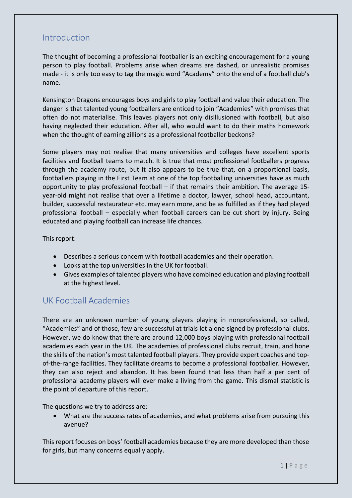## Introduction

The thought of becoming a professional footballer is an exciting encouragement for a young person to play football. Problems arise when dreams are dashed, or unrealistic promises made - it is only too easy to tag the magic word "Academy" onto the end of a football club's name.

Kensington Dragons encourages boys and girls to play football and value their education. The danger is that talented young footballers are enticed to join "Academies" with promises that often do not materialise. This leaves players not only disillusioned with football, but also having neglected their education. After all, who would want to do their maths homework when the thought of earning zillions as a professional footballer beckons?

Some players may not realise that many universities and colleges have excellent sports facilities and football teams to match. It is true that most professional footballers progress through the academy route, but it also appears to be true that, on a proportional basis, footballers playing in the First Team at one of the top footballing universities have as much opportunity to play professional football – if that remains their ambition. The average 15 year-old might not realise that over a lifetime a doctor, lawyer, school head, accountant, builder, successful restaurateur etc. may earn more, and be as fulfilled as if they had played professional football – especially when football careers can be cut short by injury. Being educated and playing football can increase life chances.

This report:

- Describes a serious concern with football academies and their operation.
- Looks at the top universities in the UK for football.
- Gives examples of talented players who have combined education and playing football at the highest level.

## UK Football Academies

There are an unknown number of young players playing in nonprofessional, so called, "Academies" and of those, few are successful at trials let alone signed by professional clubs. However, we do know that there are around 12,000 boys playing with professional football academies each year in the UK. The academies of professional clubs recruit, train, and hone the skills of the nation's most talented football players. They provide expert coaches and topof-the-range facilities. They facilitate dreams to become a professional footballer. However, they can also reject and abandon. It has been found that less than half a per cent of professional academy players will ever make a living from the game. This dismal statistic is the point of departure of this report.

The questions we try to address are:

• What are the success rates of academies, and what problems arise from pursuing this avenue?

This report focuses on boys' football academies because they are more developed than those for girls, but many concerns equally apply.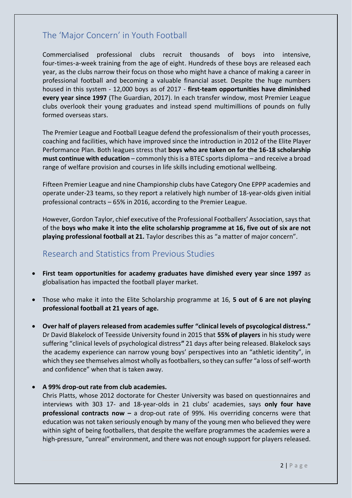## The 'Major Concern' in Youth Football

Commercialised professional clubs recruit thousands of boys into intensive, four-times-a-week training from the age of eight. Hundreds of these boys are released each year, as the clubs narrow their focus on those who might have a chance of making a career in professional football and becoming a valuable financial asset. Despite the huge numbers housed in this system - 12,000 boys as of 2017 - **first-team opportunities have diminished every year since 1997** (The Guardian, 2017). In each transfer window, most Premier League clubs overlook their young graduates and instead spend multimillions of pounds on fully formed overseas stars.

The Premier League and Football League defend the professionalism of their youth processes, coaching and facilities, which have improved since the introduction in 2012 of the Elite Player Performance Plan. Both leagues stress that **boys who are taken on for the 16-18 scholarship must continue with education** – commonly this is a BTEC sports diploma – and receive a broad range of welfare provision and courses in life skills including emotional wellbeing.

Fifteen Premier League and nine Championship clubs have Category One EPPP academies and operate under-23 teams, so they report a relatively high number of 18-year-olds given initial professional contracts – 65% in 2016, according to the Premier League.

However, Gordon Taylor, chief executive of the Professional Footballers' Association, says that of the **boys who make it into the elite scholarship programme at 16, five out of six are not playing professional football at 21.** Taylor describes this as "a matter of major concern".

## Research and Statistics from Previous Studies

- **First team opportunities for academy graduates have dimished every year since 1997** as globalisation has impacted the football player market.
- Those who make it into the Elite Scholarship programme at 16, **5 out of 6 are not playing professional football at 21 years of age.**
- **Over half of players released from academies suffer "clinical levels of psycological distress."** Dr David Blakelock of Teesside University found in 2015 that **55% of players** in his study were suffering "clinical levels of psychological distress**"** 21 days after being released. Blakelock says the academy experience can narrow young boys' perspectives into an "athletic identity", in which they see themselves almost wholly as footballers, so they can suffer "a loss of self-worth and confidence" when that is taken away.

#### • **A 99% drop-out rate from club academies.**

Chris Platts, whose 2012 doctorate for Chester University was based on questionnaires and interviews with 303 17- and 18‑year‑olds in 21 clubs' academies, says **only four have professional contracts now –** a drop-out rate of 99%. His overriding concerns were that education was not taken seriously enough by many of the young men who believed they were within sight of being footballers, that despite the welfare programmes the academies were a high-pressure, "unreal" environment, and there was not enough support for players released.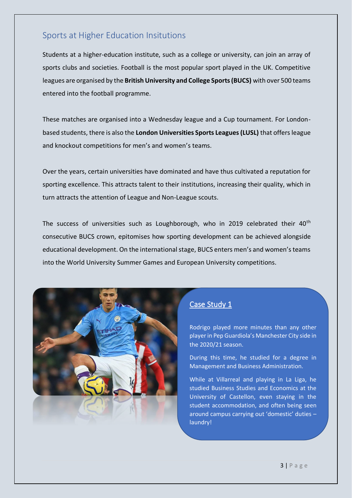## Sports at Higher Education Insitutions

Students at a higher-education institute, such as a college or university, can join an array of sports clubs and societies. Football is the most popular sport played in the UK. Competitive leagues are organised by the **British University and College Sports (BUCS)** with over 500 teams entered into the football programme.

These matches are organised into a Wednesday league and a Cup tournament. For Londonbased students, there is also the **London Universities Sports Leagues (LUSL)** that offers league and knockout competitions for men's and women's teams.

Over the years, certain universities have dominated and have thus cultivated a reputation for sporting excellence. This attracts talent to their institutions, increasing their quality, which in turn attracts the attention of League and Non-League scouts.

The success of universities such as Loughborough, who in 2019 celebrated their 40<sup>th</sup> consecutive BUCS crown, epitomises how sporting development can be achieved alongside educational development. On the international stage, BUCS enters men's and women's teams into the World University Summer Games and European University competitions.



### Case Study 1

Rodrigo played more minutes than any other player in Pep Guardiola's Manchester City side in the 2020/21 season.

During this time, he studied for a degree in Management and Business Administration.

While at Villarreal and playing in La Liga, he studied Business Studies and Economics at the University of Castellon, even staying in the student accommodation, and often being seen around campus carrying out 'domestic' duties – laundry!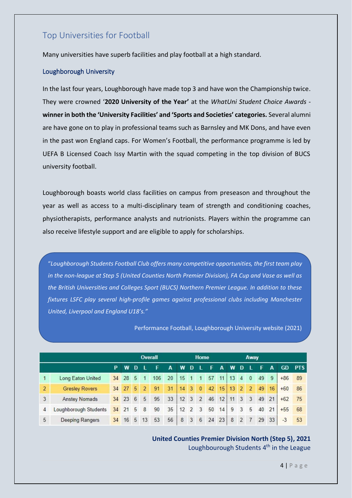## Top Universities for Football

Many universities have superb facilities and play football at a high standard.

#### Loughborough University

In the last four years, Loughborough have made top 3 and have won the Championship twice. They were crowned '**2020 University of the Year'** at the *WhatUni Student Choice Awards* **winner in both the 'University Facilities' and 'Sports and Societies' categories.** Several alumni are have gone on to play in professional teams such as Barnsley and MK Dons, and have even in the past won England caps. For Women's Football, the performance programme is led by UEFA B Licensed Coach Issy Martin with the squad competing in the top division of BUCS university football.

Loughborough boasts world class facilities on campus from preseason and throughout the year as well as access to a multi-disciplinary team of strength and conditioning coaches, physiotherapists, performance analysts and nutrionists. Players within the programme can also receive lifestyle support and are eligible to apply for scholarships.

"*Loughborough Students Football Club offers many competitive opportunities, the first team play in the non-league at Step 5 (United Counties North Premier Division), FA Cup and Vase as well as the British Universities and Colleges Sport (BUCS) Northern Premier League. In addition to these fixtures LSFC play several high-profile games against professional clubs including Manchester United, Liverpool and England U18's."*

Performance Football, Loughborough University website (2021)

| <b>Overall</b> |                       |    |         |      | Home           |     |    |          | Away           |                |       |              |       |                |                         |    |    |           |            |
|----------------|-----------------------|----|---------|------|----------------|-----|----|----------|----------------|----------------|-------|--------------|-------|----------------|-------------------------|----|----|-----------|------------|
|                |                       | P  | W       | n    |                |     | A  | w        | <sup>n</sup>   |                | F     | A            | w     | D              |                         | F  | A  | <b>GD</b> | <b>PTS</b> |
|                | Long Eaton United     |    | 34 28 5 |      |                | 106 | 20 | 15       | $\overline{1}$ | $\overline{1}$ | 57    | $11 \mid 13$ |       | $\overline{4}$ | $\mathbf{0}$            | 49 | -9 | $+86$     | - 89       |
| $\overline{2}$ | <b>Gresley Rovers</b> |    | 34 27 5 |      | $\overline{2}$ | 91  | 31 | 14       | $\overline{3}$ | $\mathbf{0}$   | 42    |              | 15 13 | 2 <sup>7</sup> | $\overline{2}$          | 49 | 16 | $+60$     | - 86       |
| 3              | <b>Anstey Nomads</b>  |    | 34 23 6 |      | 5              | 95  | 33 | 1232     |                |                | 46    | 12           | 111   | 3 <sup>7</sup> | $\overline{\mathbf{3}}$ | 49 | 21 | $+62$     | 75         |
| 4              | Loughborough Students |    | 34 21   | $-5$ | 8              | 90  | 35 | $12$ 2 3 |                |                | 50    | 14           | 9     | 3              | 5                       | 40 | 21 | $+55$     | 68         |
| 5              | Deeping Rangers       | 34 | 16      | 5    | 13             | 53  | 56 | 8        | 3              | 6              | 24 23 |              | 8     | 2              | $\overline{7}$          | 29 | 33 | $-3$      | 53         |

## **United Counties Premier Division North (Step 5), 2021**

Loughbourough Students 4<sup>th</sup> in the League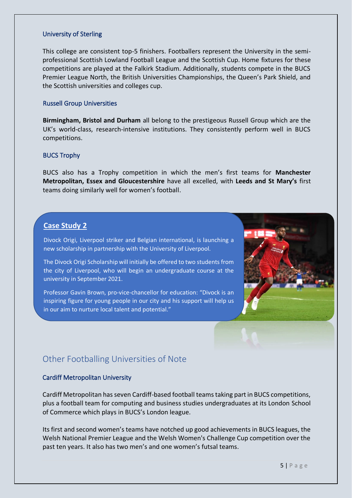#### University of Sterling

This college are consistent top-5 finishers. Footballers represent the University in the semiprofessional Scottish Lowland Football League and the Scottish Cup. Home fixtures for these competitions are played at the Falkirk Stadium. Additionally, students compete in the BUCS Premier League North, the British Universities Championships, the Queen's Park Shield, and the Scottish universities and colleges cup.

#### Russell Group Universities

**Birmingham, Bristol and Durham** all belong to the prestigeous Russell Group which are the UK's world-class, research-intensive institutions. They consistently perform well in BUCS competitions.

#### BUCS Trophy

BUCS also has a Trophy competition in which the men's first teams for **Manchester Metropolitan, Essex and Gloucestershire** have all excelled, with **Leeds and St Mary's** first teams doing similarly well for women's football.

#### **Case Study 2**

Divock Origi, Liverpool striker and Belgian international, is launching a new scholarship in partnership with the University of Liverpool.

The Divock Origi Scholarship will initially be offered to two students from the city of Liverpool, who will begin an undergraduate course at the university in September 2021.

Professor Gavin Brown, pro-vice-chancellor for education: "Divock is an inspiring figure for young people in our city and his support will help us in our aim to nurture local talent and potential."



## Other Footballing Universities of Note

#### Cardiff Metropolitan University

Cardiff Metropolitan has seven Cardiff-based football teams taking part in BUCS competitions, plus a football team for computing and business studies undergraduates at its London School of Commerce which plays in BUCS's London league.

Its first and second women's teams have notched up good achievements in BUCS leagues, the Welsh National Premier League and the Welsh Women's Challenge Cup competition over the past ten years. It also has two men's and one women's futsal teams.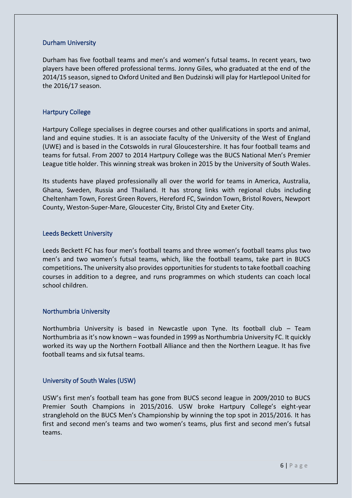#### Durham University

Durham has five football teams and men's and women's futsal teams**.** In recent years, two players have been offered professional terms. Jonny Giles, who graduated at the end of the 2014/15 season, signed to Oxford United and Ben Dudzinski will play for Hartlepool United for the 2016/17 season.

#### Hartpury College

Hartpury College specialises in degree courses and other qualifications in sports and animal, land and equine studies. It is an associate faculty of the University of the West of England (UWE) and is based in the Cotswolds in rural Gloucestershire. It has four football teams and teams for futsal. From 2007 to 2014 Hartpury College was the BUCS National Men's Premier League title holder. This winning streak was broken in 2015 by the University of South Wales.

Its students have played professionally all over the world for teams in America, Australia, Ghana, Sweden, Russia and Thailand. It has strong links with regional clubs including Cheltenham Town, Forest Green Rovers, Hereford FC, Swindon Town, Bristol Rovers, Newport County, Weston-Super-Mare, Gloucester City, Bristol City and Exeter City.

#### Leeds Beckett University

Leeds Beckett FC has four men's football teams and three women's football teams plus two men's and two women's futsal teams, which, like the football teams, take part in BUCS competitions**.** The university also provides opportunities for students to take football coaching courses in addition to a degree, and runs programmes on which students can coach local school children.

#### Northumbria University

Northumbria University is based in Newcastle upon Tyne. Its football club – Team Northumbria as it's now known – was founded in 1999 as Northumbria University FC. It quickly worked its way up the Northern Football Alliance and then the Northern League. It has five football teams and six futsal teams.

#### University of South Wales (USW)

USW's first men's football team has gone from BUCS second league in 2009/2010 to BUCS Premier South Champions in 2015/2016. USW broke Hartpury College's eight-year stranglehold on the BUCS Men's Championship by winning the top spot in 2015/2016. It has first and second men's teams and two women's teams, plus first and second men's futsal teams.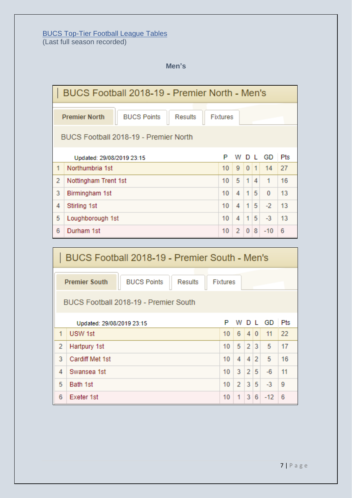#### **BUCS Top-Tier Football League Tables** (Last full season recorded)

**Men's**

| BUCS Football 2018-19 - Premier North - Men's                            |                                       |  |  |  |    |                |              |                |          |    |  |  |
|--------------------------------------------------------------------------|---------------------------------------|--|--|--|----|----------------|--------------|----------------|----------|----|--|--|
| <b>Premier North</b><br><b>BUCS Points</b><br><b>Results</b><br>Fixtures |                                       |  |  |  |    |                |              |                |          |    |  |  |
|                                                                          | BUCS Football 2018-19 - Premier North |  |  |  |    |                |              |                |          |    |  |  |
| P<br>WDLGD<br>Updated: 29/08/2019 23:15                                  |                                       |  |  |  |    |                |              |                | Pts      |    |  |  |
| 1                                                                        | Northumbria 1st                       |  |  |  | 10 | 9              | 0 1          |                | 14       | 27 |  |  |
| $\overline{2}$                                                           | Nottingham Trent 1st                  |  |  |  | 10 | 5              | 1            | 4              | 1        | 16 |  |  |
| 3                                                                        | Birmingham 1st                        |  |  |  |    | 4              | 1            | 5              | $\Omega$ | 13 |  |  |
| 4<br>Stirling 1st                                                        |                                       |  |  |  |    | 4              | 1            | 5              | $-2$     | 13 |  |  |
| 5<br>Loughborough 1st                                                    |                                       |  |  |  | 10 | 4              | 1            | 5 <sup>1</sup> | $-3$     | 13 |  |  |
| 6                                                                        | Durham 1st                            |  |  |  | 10 | $\overline{2}$ | $\mathbf{0}$ | 8              | $-10$    | 6  |  |  |

| BUCS Football 2018-19 - Premier South - Men's |                                       |  |  |    |                |                |                |          |     |  |  |
|-----------------------------------------------|---------------------------------------|--|--|----|----------------|----------------|----------------|----------|-----|--|--|
| <b>Premier South</b>                          | <b>Fixtures</b>                       |  |  |    |                |                |                |          |     |  |  |
|                                               | BUCS Football 2018-19 - Premier South |  |  |    |                |                |                |          |     |  |  |
|                                               | Updated: 29/08/2019 23:15             |  |  | P  |                |                |                | W D L GD | Pts |  |  |
| 1                                             | USW 1st                               |  |  | 10 | 6              |                | 4 0            | 11       | 22  |  |  |
| $\overline{2}$                                | Hartpury 1st                          |  |  | 10 | 5              | $\overline{2}$ | $\overline{3}$ | 5        | 17  |  |  |
| 3                                             | Cardiff Met 1st                       |  |  | 10 | 4              | 4              | $\overline{2}$ | 5        | 16  |  |  |
| 4                                             | Swansea 1st                           |  |  | 10 | 3              | $\overline{2}$ | 5              | $-6$     | 11  |  |  |
| 5                                             | Bath 1st                              |  |  | 10 | $\overline{2}$ | $\overline{3}$ | 5              | $-3$     | 9   |  |  |
| 6                                             | Exeter 1st                            |  |  | 10 | 1              | 3 <sup>1</sup> | 6              | $-12$    | 6   |  |  |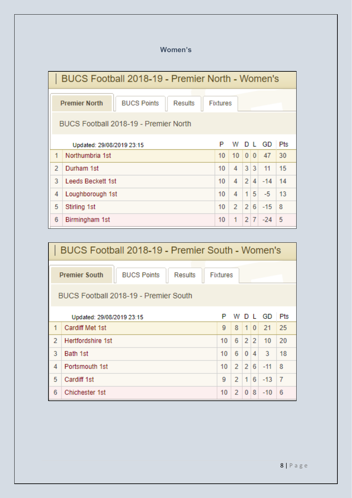## **Women's**

| BUCS Football 2018-19 - Premier North - Women's |                                       |                 |  |  |    |                  |                |                |       |            |  |
|-------------------------------------------------|---------------------------------------|-----------------|--|--|----|------------------|----------------|----------------|-------|------------|--|
| <b>Premier North</b>                            |                                       | <b>Fixtures</b> |  |  |    |                  |                |                |       |            |  |
|                                                 | BUCS Football 2018-19 - Premier North |                 |  |  |    |                  |                |                |       |            |  |
|                                                 | Updated: 29/08/2019 23:15             |                 |  |  |    |                  |                | D L            | GD    | <b>Pts</b> |  |
| 1                                               | Northumbria 1st                       |                 |  |  | 10 | 10 <sup>10</sup> |                | 0 0            | 47    | 30         |  |
| $\overline{2}$                                  | Durham 1st                            |                 |  |  | 10 | 4                | 3              | 3              | 11    | 15         |  |
| 3                                               | Leeds Beckett 1st                     |                 |  |  |    | 4                | $\overline{2}$ | $\vert$        | $-14$ | 14         |  |
| 4<br>Loughborough 1st                           |                                       |                 |  |  | 10 | 4                | 1.             | 5 <sup>1</sup> | $-5$  | 13         |  |
| 5                                               | Stirling 1st                          |                 |  |  | 10 | $\overline{2}$   | $\overline{2}$ | 6              | $-15$ | 8          |  |
| 6                                               | Birmingham 1st                        |                 |  |  | 10 | 1                | $\overline{2}$ | $\overline{7}$ | $-24$ | 5          |  |

| BUCS Football 2018-19 - Premier South - Women's |                                                              |          |                |                |                |        |                |  |  |  |  |
|-------------------------------------------------|--------------------------------------------------------------|----------|----------------|----------------|----------------|--------|----------------|--|--|--|--|
|                                                 | <b>BUCS Points</b><br><b>Premier South</b><br><b>Results</b> | Fixtures |                |                |                |        |                |  |  |  |  |
|                                                 | BUCS Football 2018-19 - Premier South                        |          |                |                |                |        |                |  |  |  |  |
|                                                 | Updated: 29/08/2019 23:15                                    | P        | w              |                |                | D L GD | Pts            |  |  |  |  |
| 1                                               | Cardiff Met 1st                                              | 9        | 8              | 10             |                | 21     | 25             |  |  |  |  |
| 2                                               | Hertfordshire 1st                                            | 10       | 6              | $\overline{2}$ | $\overline{2}$ | 10     | 20             |  |  |  |  |
| 3                                               | Bath 1st                                                     | 10       | 6              | $\bf{0}$       | 4              | 3      | 18             |  |  |  |  |
| 4                                               | Portsmouth 1st                                               | 10       | $\mathbf{2}$   | $\overline{2}$ | 6              | $-11$  | 8              |  |  |  |  |
| 5                                               | Cardiff 1st                                                  | 9        | $\overline{2}$ | 1              | 6              | $-13$  | $\overline{7}$ |  |  |  |  |
| 6                                               | Chichester 1st                                               | 10       | 2              | $\mathbf{0}$   | 8              | $-10$  | 6              |  |  |  |  |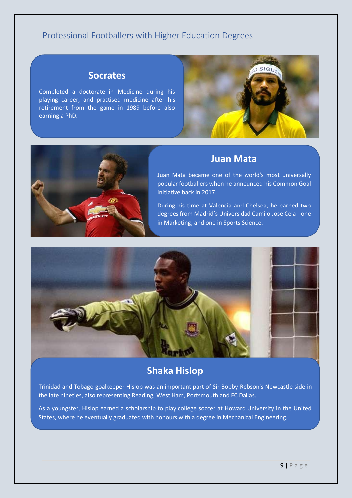## Professional Footballers with Higher Education Degrees

## **Socrates**

Completed a doctorate in Medicine during his playing career, and practised medicine after his retirement from the game in 1989 before also earning a PhD.





## **Juan Mata**

Juan Mata became one of the world's most universally popular footballers when he announced his Common Goal initiative back in 2017.

During his time at Valencia and Chelsea, he earned two degrees from Madrid's Universidad Camilo Jose Cela - one in Marketing, and one in Sports Science.



## **Shaka Hislop**

Trinidad and Tobago goalkeeper Hislop was an important part of Sir Bobby Robson's Newcastle side in the late nineties, also representing Reading, West Ham, Portsmouth and FC Dallas.

As a youngster, Hislop earned a scholarship to play college soccer at Howard University in the United States, where he eventually graduated with honours with a degree in Mechanical Engineering.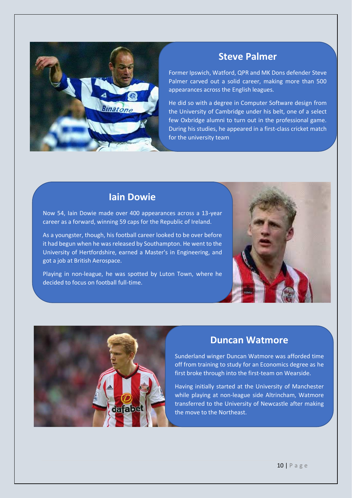

## **Steve Palmer**

Former Ipswich, Watford, QPR and MK Dons defender Steve Palmer carved out a solid career, making more than 500 appearances across the English leagues.

He did so with a degree in Computer Software design from the University of Cambridge under his belt, one of a select few Oxbridge alumni to turn out in the professional game. During his studies, he appeared in a first-class cricket match for the university team

## **Iain Dowie**

Now 54, Iain Dowie made over 400 appearances across a 13-year career as a forward, winning 59 caps for the Republic of Ireland.

As a youngster, though, his football career looked to be over before it had begun when he was released by Southampton. He went to the University of Hertfordshire, earned a Master's in Engineering, and got a job at British Aerospace.

Playing in non-league, he was spotted by Luton Town, where he decided to focus on football full-time.





## **Duncan Watmore**

Sunderland winger Duncan Watmore was afforded time off from training to study for an Economics degree as he first broke through into the first-team on Wearside.

Having initially started at the University of Manchester while playing at non-league side Altrincham, Watmore transferred to the University of Newcastle after making the move to the Northeast.